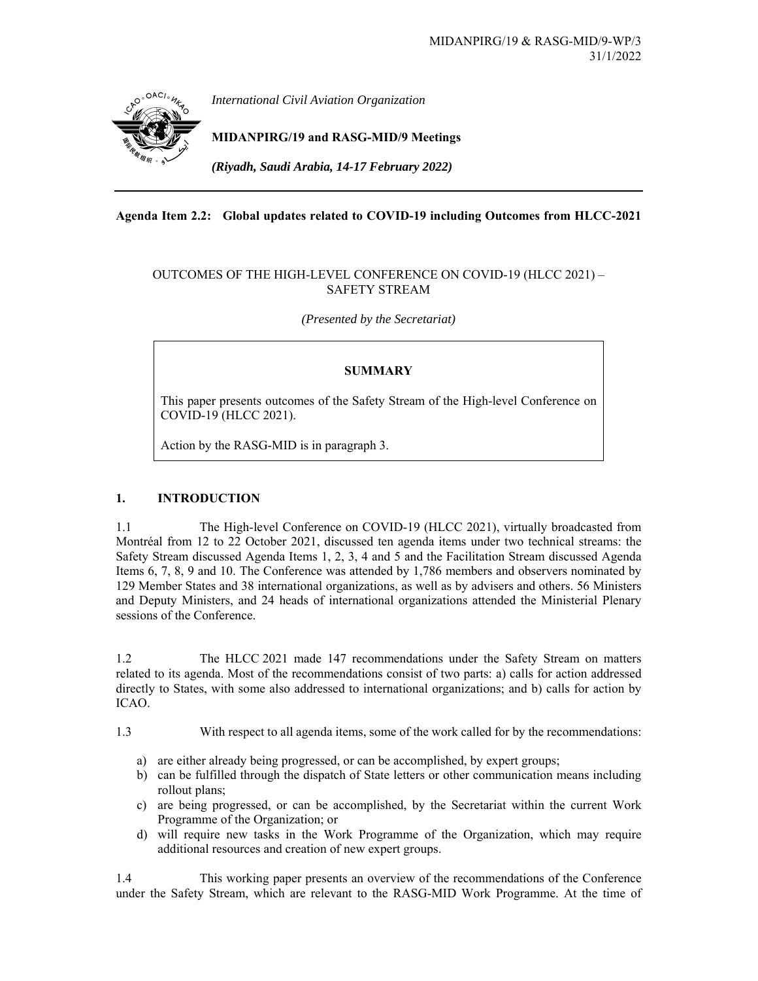

## **Agenda Item 2.2: Global updates related to COVID-19 including Outcomes from HLCC-2021**

## OUTCOMES OF THE HIGH-LEVEL CONFERENCE ON COVID-19 (HLCC 2021) – SAFETY STREAM

*(Presented by the Secretariat)* 

# **SUMMARY**

This paper presents outcomes of the Safety Stream of the High-level Conference on COVID-19 (HLCC 2021).

Action by the RASG-MID is in paragraph 3.

# **1. INTRODUCTION**

1.1 The High-level Conference on COVID-19 (HLCC 2021), virtually broadcasted from Montréal from 12 to 22 October 2021, discussed ten agenda items under two technical streams: the Safety Stream discussed Agenda Items 1, 2, 3, 4 and 5 and the Facilitation Stream discussed Agenda Items 6, 7, 8, 9 and 10. The Conference was attended by 1,786 members and observers nominated by 129 Member States and 38 international organizations, as well as by advisers and others. 56 Ministers and Deputy Ministers, and 24 heads of international organizations attended the Ministerial Plenary sessions of the Conference.

1.2 The HLCC 2021 made 147 recommendations under the Safety Stream on matters related to its agenda. Most of the recommendations consist of two parts: a) calls for action addressed directly to States, with some also addressed to international organizations; and b) calls for action by ICAO.

1.3 With respect to all agenda items, some of the work called for by the recommendations:

- a) are either already being progressed, or can be accomplished, by expert groups;
- b) can be fulfilled through the dispatch of State letters or other communication means including rollout plans;
- c) are being progressed, or can be accomplished, by the Secretariat within the current Work Programme of the Organization; or
- d) will require new tasks in the Work Programme of the Organization, which may require additional resources and creation of new expert groups.

1.4 This working paper presents an overview of the recommendations of the Conference under the Safety Stream, which are relevant to the RASG-MID Work Programme. At the time of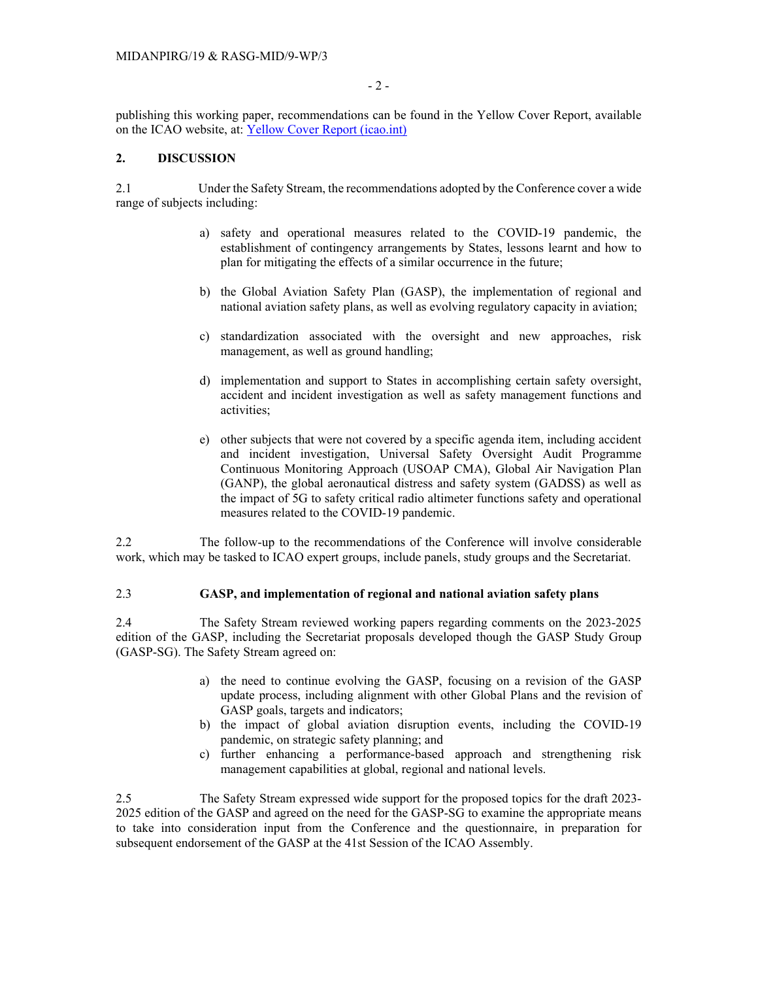- 2 -

publishing this working paper, recommendations can be found in the Yellow Cover Report, available on the ICAO website, at: Yellow Cover Report (icao.int)

### **2. DISCUSSION**

2.1 Under the Safety Stream, the recommendations adopted by the Conference cover a wide range of subjects including:

- a) safety and operational measures related to the COVID-19 pandemic, the establishment of contingency arrangements by States, lessons learnt and how to plan for mitigating the effects of a similar occurrence in the future;
- b) the Global Aviation Safety Plan (GASP), the implementation of regional and national aviation safety plans, as well as evolving regulatory capacity in aviation;
- c) standardization associated with the oversight and new approaches, risk management, as well as ground handling;
- d) implementation and support to States in accomplishing certain safety oversight, accident and incident investigation as well as safety management functions and activities;
- e) other subjects that were not covered by a specific agenda item, including accident and incident investigation, Universal Safety Oversight Audit Programme Continuous Monitoring Approach (USOAP CMA), Global Air Navigation Plan (GANP), the global aeronautical distress and safety system (GADSS) as well as the impact of 5G to safety critical radio altimeter functions safety and operational measures related to the COVID-19 pandemic.

2.2 The follow-up to the recommendations of the Conference will involve considerable work, which may be tasked to ICAO expert groups, include panels, study groups and the Secretariat.

## 2.3 **GASP, and implementation of regional and national aviation safety plans**

2.4 The Safety Stream reviewed working papers regarding comments on the 2023-2025 edition of the GASP, including the Secretariat proposals developed though the GASP Study Group (GASP-SG). The Safety Stream agreed on:

- a) the need to continue evolving the GASP, focusing on a revision of the GASP update process, including alignment with other Global Plans and the revision of GASP goals, targets and indicators;
- b) the impact of global aviation disruption events, including the COVID-19 pandemic, on strategic safety planning; and
- c) further enhancing a performance-based approach and strengthening risk management capabilities at global, regional and national levels.

2.5 The Safety Stream expressed wide support for the proposed topics for the draft 2023- 2025 edition of the GASP and agreed on the need for the GASP-SG to examine the appropriate means to take into consideration input from the Conference and the questionnaire, in preparation for subsequent endorsement of the GASP at the 41st Session of the ICAO Assembly.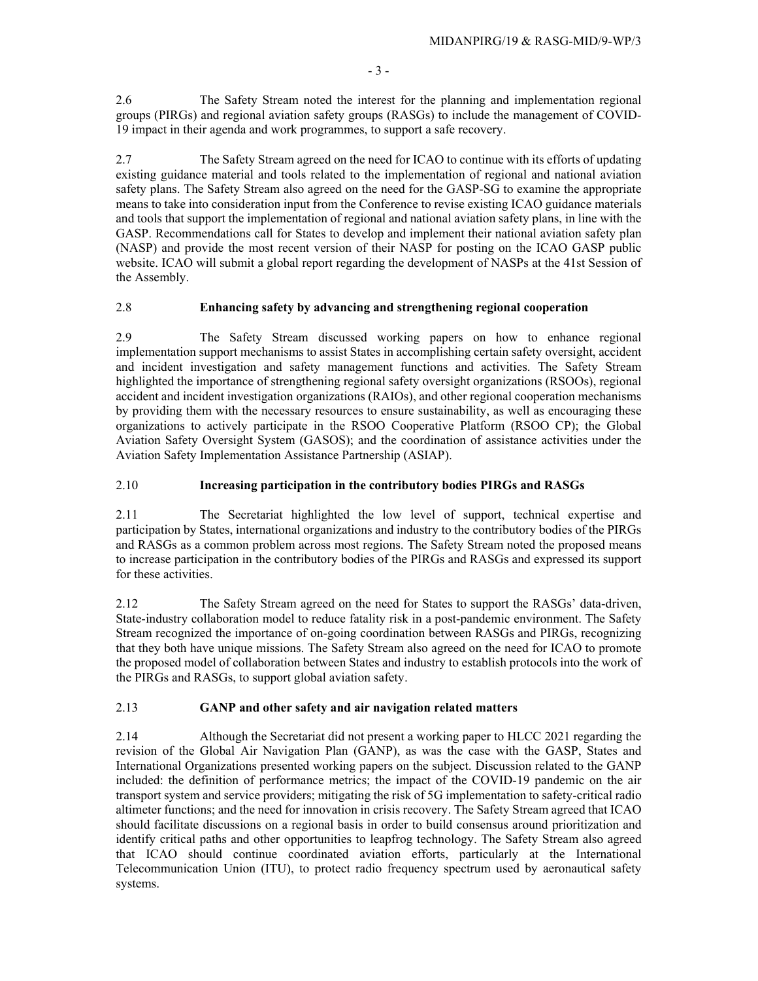- 3 -

2.6 The Safety Stream noted the interest for the planning and implementation regional groups (PIRGs) and regional aviation safety groups (RASGs) to include the management of COVID-19 impact in their agenda and work programmes, to support a safe recovery.

2.7 The Safety Stream agreed on the need for ICAO to continue with its efforts of updating existing guidance material and tools related to the implementation of regional and national aviation safety plans. The Safety Stream also agreed on the need for the GASP-SG to examine the appropriate means to take into consideration input from the Conference to revise existing ICAO guidance materials and tools that support the implementation of regional and national aviation safety plans, in line with the GASP. Recommendations call for States to develop and implement their national aviation safety plan (NASP) and provide the most recent version of their NASP for posting on the ICAO GASP public website. ICAO will submit a global report regarding the development of NASPs at the 41st Session of the Assembly.

#### 2.8 **Enhancing safety by advancing and strengthening regional cooperation**

2.9 The Safety Stream discussed working papers on how to enhance regional implementation support mechanisms to assist States in accomplishing certain safety oversight, accident and incident investigation and safety management functions and activities. The Safety Stream highlighted the importance of strengthening regional safety oversight organizations (RSOOs), regional accident and incident investigation organizations (RAIOs), and other regional cooperation mechanisms by providing them with the necessary resources to ensure sustainability, as well as encouraging these organizations to actively participate in the RSOO Cooperative Platform (RSOO CP); the Global Aviation Safety Oversight System (GASOS); and the coordination of assistance activities under the Aviation Safety Implementation Assistance Partnership (ASIAP).

#### 2.10 **Increasing participation in the contributory bodies PIRGs and RASGs**

2.11 The Secretariat highlighted the low level of support, technical expertise and participation by States, international organizations and industry to the contributory bodies of the PIRGs and RASGs as a common problem across most regions. The Safety Stream noted the proposed means to increase participation in the contributory bodies of the PIRGs and RASGs and expressed its support for these activities.

2.12 The Safety Stream agreed on the need for States to support the RASGs' data-driven, State-industry collaboration model to reduce fatality risk in a post-pandemic environment. The Safety Stream recognized the importance of on-going coordination between RASGs and PIRGs, recognizing that they both have unique missions. The Safety Stream also agreed on the need for ICAO to promote the proposed model of collaboration between States and industry to establish protocols into the work of the PIRGs and RASGs, to support global aviation safety.

#### 2.13 **GANP and other safety and air navigation related matters**

2.14 Although the Secretariat did not present a working paper to HLCC 2021 regarding the revision of the Global Air Navigation Plan (GANP), as was the case with the GASP, States and International Organizations presented working papers on the subject. Discussion related to the GANP included: the definition of performance metrics; the impact of the COVID-19 pandemic on the air transport system and service providers; mitigating the risk of 5G implementation to safety-critical radio altimeter functions; and the need for innovation in crisis recovery. The Safety Stream agreed that ICAO should facilitate discussions on a regional basis in order to build consensus around prioritization and identify critical paths and other opportunities to leapfrog technology. The Safety Stream also agreed that ICAO should continue coordinated aviation efforts, particularly at the International Telecommunication Union (ITU), to protect radio frequency spectrum used by aeronautical safety systems.